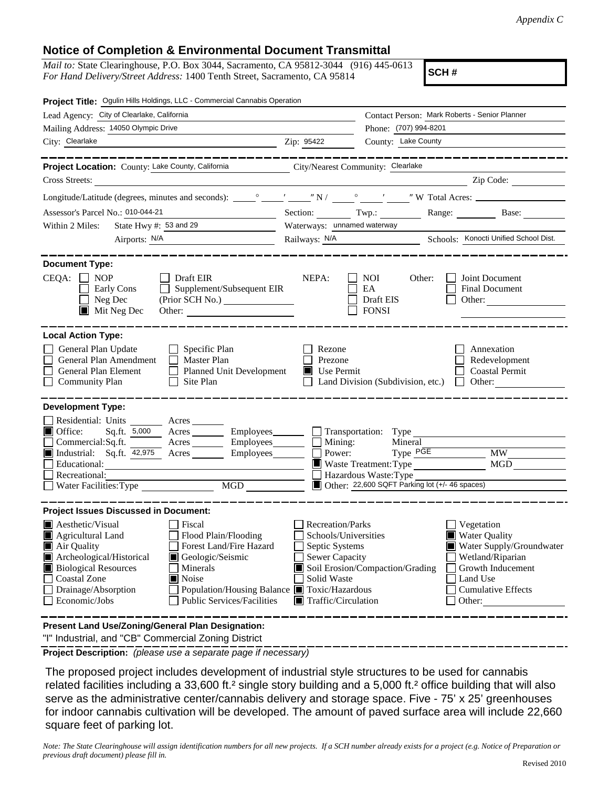## **Notice of Completion & Environmental Document Transmittal**

*Mail to:* State Clearinghouse, P.O. Box 3044, Sacramento, CA 95812-3044 (916) 445-0613 *For Hand Delivery/Street Address:* 1400 Tenth Street, Sacramento, CA 95814

**SCH #**

| Project Title: Ogulin Hills Holdings, LLC - Commercial Cannabis Operation                                                                                                                                                                                                                                                                                                   |                                                                                                                                   |                                                                                                                                                |                                                                                                                                                       |  |  |  |
|-----------------------------------------------------------------------------------------------------------------------------------------------------------------------------------------------------------------------------------------------------------------------------------------------------------------------------------------------------------------------------|-----------------------------------------------------------------------------------------------------------------------------------|------------------------------------------------------------------------------------------------------------------------------------------------|-------------------------------------------------------------------------------------------------------------------------------------------------------|--|--|--|
| Lead Agency: City of Clearlake, California                                                                                                                                                                                                                                                                                                                                  |                                                                                                                                   |                                                                                                                                                | Contact Person: Mark Roberts - Senior Planner                                                                                                         |  |  |  |
| Mailing Address: 14050 Olympic Drive                                                                                                                                                                                                                                                                                                                                        | Phone: (707) 994-8201                                                                                                             |                                                                                                                                                |                                                                                                                                                       |  |  |  |
| City: Clearlake<br><u>2</u> Zip: 95422                                                                                                                                                                                                                                                                                                                                      |                                                                                                                                   | County: Lake County                                                                                                                            |                                                                                                                                                       |  |  |  |
|                                                                                                                                                                                                                                                                                                                                                                             |                                                                                                                                   |                                                                                                                                                | . __ __ __ __ __ __ __ __ __ __                                                                                                                       |  |  |  |
| Project Location: County: Lake County, California City/Nearest Community: Clearlake                                                                                                                                                                                                                                                                                         |                                                                                                                                   |                                                                                                                                                |                                                                                                                                                       |  |  |  |
| Cross Streets:<br><u> 1989 - Jan Barbara Barat, prima popular popular popular popular popular popular popular popular popular popula</u>                                                                                                                                                                                                                                    |                                                                                                                                   |                                                                                                                                                | Zip Code:                                                                                                                                             |  |  |  |
|                                                                                                                                                                                                                                                                                                                                                                             |                                                                                                                                   |                                                                                                                                                |                                                                                                                                                       |  |  |  |
| Assessor's Parcel No.: 010-044-21                                                                                                                                                                                                                                                                                                                                           |                                                                                                                                   |                                                                                                                                                | Section: Twp.: Range: Base:                                                                                                                           |  |  |  |
| State Hwy #: 53 and 29<br>Within 2 Miles:                                                                                                                                                                                                                                                                                                                                   | Waterways: unnamed waterway                                                                                                       |                                                                                                                                                |                                                                                                                                                       |  |  |  |
| Airports: <u>N/A</u>                                                                                                                                                                                                                                                                                                                                                        | Railways: N/A<br>Schools: Konocti Unified School Dist.                                                                            |                                                                                                                                                |                                                                                                                                                       |  |  |  |
| <b>Document Type:</b><br>CEQA:<br><b>NOP</b><br>Draft EIR<br>Supplement/Subsequent EIR<br>Early Cons<br>Neg Dec<br>$\blacksquare$ Mit Neg Dec<br>Other:                                                                                                                                                                                                                     | NEPA:                                                                                                                             | <b>NOI</b><br>Other:<br>EA<br>Draft EIS<br><b>FONSI</b>                                                                                        | Joint Document<br><b>Final Document</b><br>Other: $\qquad \qquad$                                                                                     |  |  |  |
| <b>Local Action Type:</b><br>General Plan Update<br>Specific Plan<br>General Plan Amendment<br>Master Plan<br>General Plan Element<br><b>Planned Unit Development</b><br>$\perp$<br><b>Community Plan</b><br>Site Plan                                                                                                                                                      | Rezone<br>Prezone<br>Use Permit                                                                                                   | Land Division (Subdivision, etc.)                                                                                                              | Annexation<br>Redevelopment<br><b>Coastal Permit</b><br>Other:<br>$\mathbf{1}$                                                                        |  |  |  |
| <b>Development Type:</b>                                                                                                                                                                                                                                                                                                                                                    |                                                                                                                                   |                                                                                                                                                |                                                                                                                                                       |  |  |  |
| Residential: Units<br>Acres<br>■ Office:<br>Sq.ft. 5,000<br>Acres Employees<br>Commercial:Sq.ft.<br>Employees________<br>$\overline{\phantom{a}}$ Acres<br>$\blacksquare$ Industrial: Sq.ft. $\overline{42,975}$ Acres<br>Employees_______<br>Educational:<br>Recreational:<br>MGD<br>Water Facilities: Type                                                                | $\Box$ Mining:<br>Power:                                                                                                          | Transportation: Type<br>Mineral<br>Type PGE<br>Waste Treatment: Type<br>Hazardous Waste: Type<br>Other: 22,600 SQFT Parking lot (+/-46 spaces) | <b>MW</b><br>MGD                                                                                                                                      |  |  |  |
| <b>Project Issues Discussed in Document:</b>                                                                                                                                                                                                                                                                                                                                |                                                                                                                                   |                                                                                                                                                |                                                                                                                                                       |  |  |  |
| Aesthetic/Visual<br>Fiscal<br>Flood Plain/Flooding<br>Agricultural Land<br>Forest Land/Fire Hazard<br>Air Quality<br>Archeological/Historical<br>Geologic/Seismic<br><b>Biological Resources</b><br>Minerals<br>■ Noise<br><b>Coastal Zone</b><br>Drainage/Absorption<br>Population/Housing Balance ■ Toxic/Hazardous<br>Economic/Jobs<br><b>Public Services/Facilities</b> | Recreation/Parks<br>Schools/Universities<br>Septic Systems<br>Sewer Capacity<br>Solid Waste<br>$\blacksquare$ Traffic/Circulation | Soil Erosion/Compaction/Grading                                                                                                                | Vegetation<br>■ Water Quality<br>Water Supply/Groundwater<br>Wetland/Riparian<br>Growth Inducement<br>Land Use<br><b>Cumulative Effects</b><br>Other: |  |  |  |
| Present Land Use/Zoning/General Plan Designation:                                                                                                                                                                                                                                                                                                                           |                                                                                                                                   |                                                                                                                                                |                                                                                                                                                       |  |  |  |

"I" Industrial, and "CB" Commercial Zoning District

**Project Description:** *(please use a separate page if necessary)*

 The proposed project includes development of industrial style structures to be used for cannabis related facilities including a 33,600 ft.² single story building and a 5,000 ft.² office building that will also serve as the administrative center/cannabis delivery and storage space. Five - 75' x 25' greenhouses for indoor cannabis cultivation will be developed. The amount of paved surface area will include 22,660 square feet of parking lot.

*Note: The State Clearinghouse will assign identification numbers for all new projects. If a SCH number already exists for a project (e.g. Notice of Preparation or previous draft document) please fill in.*